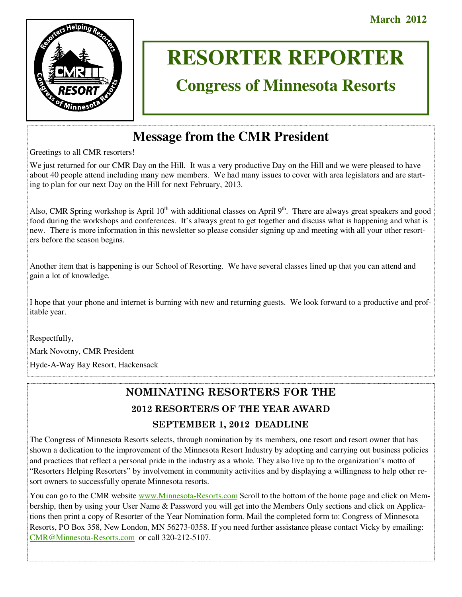

# **RESORTER REPORTER**

# **Congress of Minnesota Resorts**

# **Message from the CMR President**

Greetings to all CMR resorters!

We just returned for our CMR Day on the Hill. It was a very productive Day on the Hill and we were pleased to have about 40 people attend including many new members. We had many issues to cover with area legislators and are starting to plan for our next Day on the Hill for next February, 2013.

Also, CMR Spring workshop is April  $10<sup>th</sup>$  with additional classes on April  $9<sup>th</sup>$ . There are always great speakers and good food during the workshops and conferences. It's always great to get together and discuss what is happening and what is new. There is more information in this newsletter so please consider signing up and meeting with all your other resorters before the season begins.

Another item that is happening is our School of Resorting. We have several classes lined up that you can attend and gain a lot of knowledge.

I hope that your phone and internet is burning with new and returning guests. We look forward to a productive and profitable year.

Respectfully,

Mark Novotny, CMR President

Hyde-A-Way Bay Resort, Hackensack

# **NOMINATING RESORTERS FOR THE**

## **2012 RESORTER/S OF THE YEAR AWARD SEPTEMBER 1, 2012 DEADLINE**

The Congress of Minnesota Resorts selects, through nomination by its members, one resort and resort owner that has shown a dedication to the improvement of the Minnesota Resort Industry by adopting and carrying out business policies and practices that reflect a personal pride in the industry as a whole. They also live up to the organization's motto of "Resorters Helping Resorters" by involvement in community activities and by displaying a willingness to help other resort owners to successfully operate Minnesota resorts.

You can go to the CMR website www.Minnesota-Resorts.com Scroll to the bottom of the home page and click on Membership, then by using your User Name & Password you will get into the Members Only sections and click on Applications then print a copy of Resorter of the Year Nomination form. Mail the completed form to: Congress of Minnesota Resorts, PO Box 358, New London, MN 56273-0358. If you need further assistance please contact Vicky by emailing: CMR@Minnesota-Resorts.com or call 320-212-5107.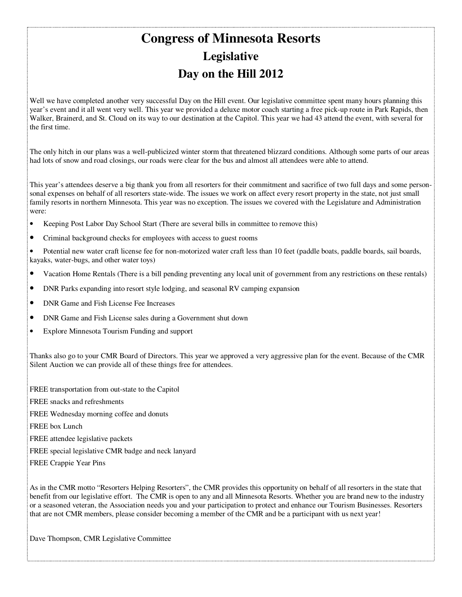# **Congress of Minnesota Resorts Legislative Day on the Hill 2012**

Well we have completed another very successful Day on the Hill event. Our legislative committee spent many hours planning this year's event and it all went very well. This year we provided a deluxe motor coach starting a free pick-up route in Park Rapids, then Walker, Brainerd, and St. Cloud on its way to our destination at the Capitol. This year we had 43 attend the event, with several for the first time.

The only hitch in our plans was a well-publicized winter storm that threatened blizzard conditions. Although some parts of our areas had lots of snow and road closings, our roads were clear for the bus and almost all attendees were able to attend.

This year's attendees deserve a big thank you from all resorters for their commitment and sacrifice of two full days and some personsonal expenses on behalf of all resorters state-wide. The issues we work on affect every resort property in the state, not just small family resorts in northern Minnesota. This year was no exception. The issues we covered with the Legislature and Administration were:

- Keeping Post Labor Day School Start (There are several bills in committee to remove this)
- Criminal background checks for employees with access to guest rooms

• Potential new water craft license fee for non-motorized water craft less than 10 feet (paddle boats, paddle boards, sail boards, kayaks, water-bugs, and other water toys)

- Vacation Home Rentals (There is a bill pending preventing any local unit of government from any restrictions on these rentals)
- DNR Parks expanding into resort style lodging, and seasonal RV camping expansion
- DNR Game and Fish License Fee Increases
- DNR Game and Fish License sales during a Government shut down
- Explore Minnesota Tourism Funding and support

Thanks also go to your CMR Board of Directors. This year we approved a very aggressive plan for the event. Because of the CMR Silent Auction we can provide all of these things free for attendees.

FREE transportation from out-state to the Capitol

- FREE snacks and refreshments
- FREE Wednesday morning coffee and donuts
- FREE box Lunch
- FREE attendee legislative packets
- FREE special legislative CMR badge and neck lanyard
- FREE Crappie Year Pins

As in the CMR motto "Resorters Helping Resorters", the CMR provides this opportunity on behalf of all resorters in the state that benefit from our legislative effort. The CMR is open to any and all Minnesota Resorts. Whether you are brand new to the industry or a seasoned veteran, the Association needs you and your participation to protect and enhance our Tourism Businesses. Resorters that are not CMR members, please consider becoming a member of the CMR and be a participant with us next year!

Dave Thompson, CMR Legislative Committee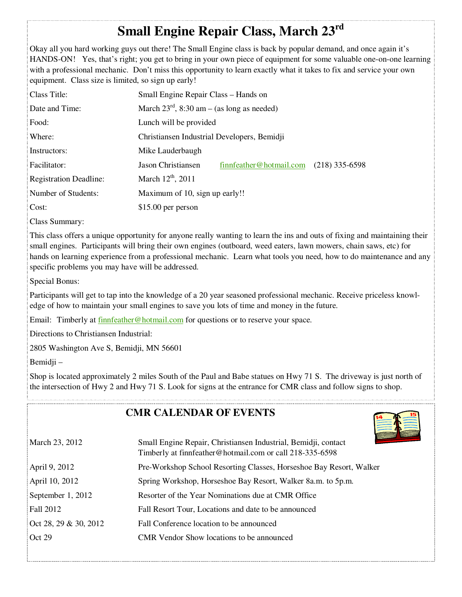# **Small Engine Repair Class, March 23rd**

Okay all you hard working guys out there! The Small Engine class is back by popular demand, and once again it's HANDS-ON! Yes, that's right; you get to bring in your own piece of equipment for some valuable one-on-one learning with a professional mechanic. Don't miss this opportunity to learn exactly what it takes to fix and service your own equipment. Class size is limited, so sign up early!

| Class Title:                  | Small Engine Repair Class – Hands on                   |                         |                  |
|-------------------------------|--------------------------------------------------------|-------------------------|------------------|
| Date and Time:                | March $23^{\text{rd}}$ , 8:30 am – (as long as needed) |                         |                  |
| Food:                         | Lunch will be provided                                 |                         |                  |
| Where:                        | Christiansen Industrial Developers, Bemidji            |                         |                  |
| Instructors:                  | Mike Lauderbaugh                                       |                         |                  |
| Facilitator:                  | Jason Christiansen                                     | finnfeather@hotmail.com | $(218)$ 335-6598 |
| <b>Registration Deadline:</b> | March $12^{th}$ , 2011                                 |                         |                  |
| Number of Students:           | Maximum of 10, sign up early!!                         |                         |                  |
| Cost:                         | $$15.00$ per person                                    |                         |                  |

Class Summary:

This class offers a unique opportunity for anyone really wanting to learn the ins and outs of fixing and maintaining their small engines. Participants will bring their own engines (outboard, weed eaters, lawn mowers, chain saws, etc) for hands on learning experience from a professional mechanic. Learn what tools you need, how to do maintenance and any specific problems you may have will be addressed.

Special Bonus:

Participants will get to tap into the knowledge of a 20 year seasoned professional mechanic. Receive priceless knowledge of how to maintain your small engines to save you lots of time and money in the future.

Email: Timberly at finnfeather@hotmail.com for questions or to reserve your space.

Directions to Christiansen Industrial:

2805 Washington Ave S, Bemidji, MN 56601

Bemidji –

Shop is located approximately 2 miles South of the Paul and Babe statues on Hwy 71 S. The driveway is just north of the intersection of Hwy 2 and Hwy 71 S. Look for signs at the entrance for CMR class and follow signs to shop.

### **CMR CALENDAR OF EVENTS**



| March 23, 2012        | Small Engine Repair, Christiansen Industrial, Bemidji, contact<br>Timberly at finnfeather@hotmail.com or call 218-335-6598 |
|-----------------------|----------------------------------------------------------------------------------------------------------------------------|
| April 9, 2012         | Pre-Workshop School Resorting Classes, Horseshoe Bay Resort, Walker                                                        |
| April 10, 2012        | Spring Workshop, Horseshoe Bay Resort, Walker 8a.m. to 5p.m.                                                               |
| September 1, 2012     | Resorter of the Year Nominations due at CMR Office                                                                         |
| <b>Fall 2012</b>      | Fall Resort Tour, Locations and date to be announced                                                                       |
| Oct 28, 29 & 30, 2012 | Fall Conference location to be announced                                                                                   |
| Oct 29                | <b>CMR</b> Vendor Show locations to be announced                                                                           |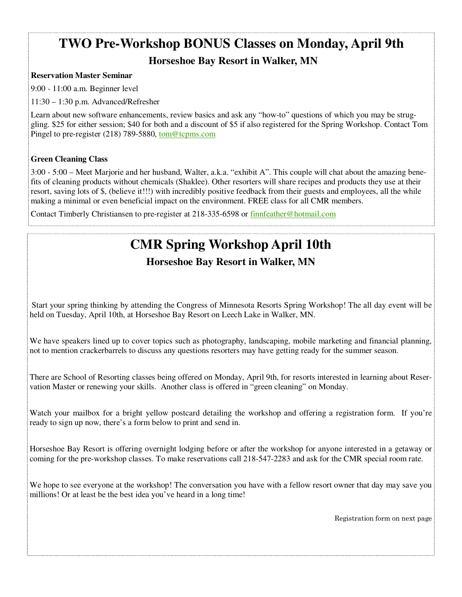# **TWO Pre-Workshop BONUS Classes on Monday, April 9th**

### **Horseshoe Bay Resort in Walker, MN**

### **Reservation Master Seminar**

9:00 - 11:00 a.m. Beginner level

11:30 – 1:30 p.m. Advanced/Refresher

Learn about new software enhancements, review basics and ask any "how-to" questions of which you may be struggling. \$25 for either session; \$40 for both and a discount of \$5 if also registered for the Spring Workshop. Contact Tom Pingel to pre-register (218) 789-5880, tom@tcpms.com

### **Green Cleaning Class**

3:00 - 5:00 – Meet Marjorie and her husband, Walter, a.k.a. "exhibit A". This couple will chat about the amazing benefits of cleaning products without chemicals (Shaklee). Other resorters will share recipes and products they use at their resort, saving lots of \$, (believe it!!!) with incredibly positive feedback from their guests and employees, all the while making a minimal or even beneficial impact on the environment. FREE class for all CMR members.

Contact Timberly Christiansen to pre-register at 218-335-6598 or finnfeather@hotmail.com

# **CMR Spring Workshop April 10th**

**Horseshoe Bay Resort in Walker, MN**

 Start your spring thinking by attending the Congress of Minnesota Resorts Spring Workshop! The all day event will be held on Tuesday, April 10th, at Horseshoe Bay Resort on Leech Lake in Walker, MN.

We have speakers lined up to cover topics such as photography, landscaping, mobile marketing and financial planning, not to mention crackerbarrels to discuss any questions resorters may have getting ready for the summer season.

There are School of Resorting classes being offered on Monday, April 9th, for resorts interested in learning about Reservation Master or renewing your skills. Another class is offered in "green cleaning" on Monday.

Watch your mailbox for a bright yellow postcard detailing the workshop and offering a registration form. If you're ready to sign up now, there's a form below to print and send in.

Horseshoe Bay Resort is offering overnight lodging before or after the workshop for anyone interested in a getaway or coming for the pre-workshop classes. To make reservations call 218-547-2283 and ask for the CMR special room rate.

We hope to see everyone at the workshop! The conversation you have with a fellow resort owner that day may save you millions! Or at least be the best idea you've heard in a long time!

Registration form on next page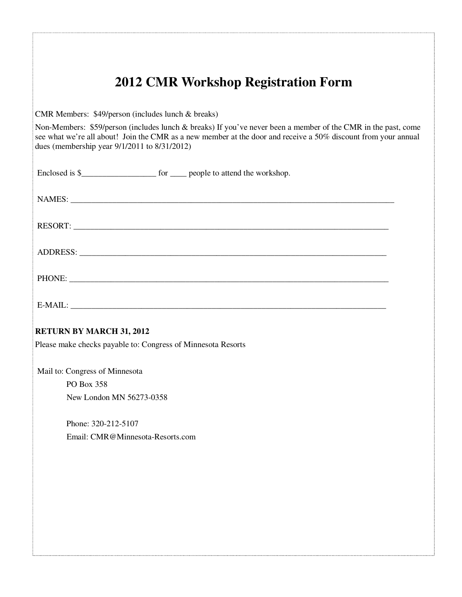|                                                    | <b>2012 CMR Workshop Registration Form</b>                                                                                                                                                                                      |
|----------------------------------------------------|---------------------------------------------------------------------------------------------------------------------------------------------------------------------------------------------------------------------------------|
| CMR Members: \$49/person (includes lunch & breaks) |                                                                                                                                                                                                                                 |
| dues (membership year 9/1/2011 to 8/31/2012)       | Non-Members: \$59/person (includes lunch & breaks) If you've never been a member of the CMR in the past, come<br>see what we're all about! Join the CMR as a new member at the door and receive a 50% discount from your annual |
|                                                    |                                                                                                                                                                                                                                 |
|                                                    |                                                                                                                                                                                                                                 |
|                                                    | RESORT:                                                                                                                                                                                                                         |
|                                                    |                                                                                                                                                                                                                                 |
|                                                    |                                                                                                                                                                                                                                 |
|                                                    |                                                                                                                                                                                                                                 |
| <b>RETURN BY MARCH 31, 2012</b>                    |                                                                                                                                                                                                                                 |
|                                                    | Please make checks payable to: Congress of Minnesota Resorts                                                                                                                                                                    |
| Mail to: Congress of Minnesota                     |                                                                                                                                                                                                                                 |
| PO Box 358<br>New London MN 56273-0358             |                                                                                                                                                                                                                                 |
| Phone: 320-212-5107                                |                                                                                                                                                                                                                                 |
|                                                    | Email: CMR@Minnesota-Resorts.com                                                                                                                                                                                                |
|                                                    |                                                                                                                                                                                                                                 |
|                                                    |                                                                                                                                                                                                                                 |
|                                                    |                                                                                                                                                                                                                                 |
|                                                    |                                                                                                                                                                                                                                 |
|                                                    |                                                                                                                                                                                                                                 |